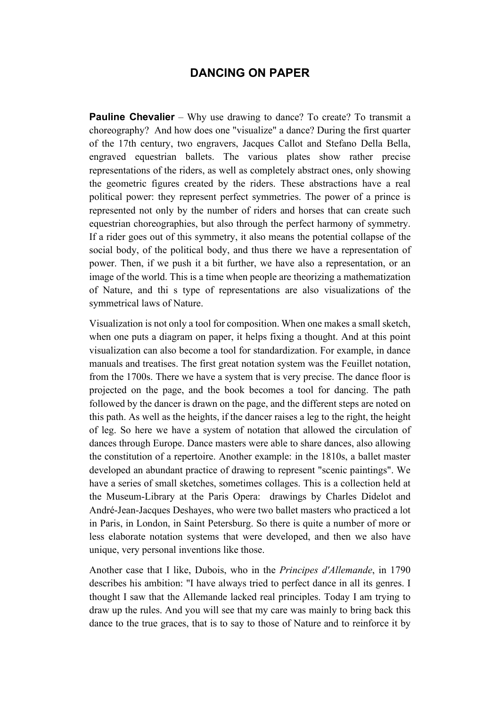## **DANCING ON PAPER**

**Pauline Chevalier** – Why use drawing to dance? To create? To transmit a choreography? And how does one "visualize" a dance? During the first quarter of the 17th century, two engravers, Jacques Callot and Stefano Della Bella, engraved equestrian ballets. The various plates show rather precise representations of the riders, as well as completely abstract ones, only showing the geometric figures created by the riders. These abstractions have a real political power: they represent perfect symmetries. The power of a prince is represented not only by the number of riders and horses that can create such equestrian choreographies, but also through the perfect harmony of symmetry. If a rider goes out of this symmetry, it also means the potential collapse of the social body, of the political body, and thus there we have a representation of power. Then, if we push it a bit further, we have also a representation, or an image of the world. This is a time when people are theorizing a mathematization of Nature, and thi s type of representations are also visualizations of the symmetrical laws of Nature.

Visualization is not only a tool for composition. When one makes a small sketch, when one puts a diagram on paper, it helps fixing a thought. And at this point visualization can also become a tool for standardization. For example, in dance manuals and treatises. The first great notation system was the Feuillet notation, from the 1700s. There we have a system that is very precise. The dance floor is projected on the page, and the book becomes a tool for dancing. The path followed by the dancer is drawn on the page, and the different steps are noted on this path. As well as the heights, if the dancer raises a leg to the right, the height of leg. So here we have a system of notation that allowed the circulation of dances through Europe. Dance masters were able to share dances, also allowing the constitution of a repertoire. Another example: in the 1810s, a ballet master developed an abundant practice of drawing to represent "scenic paintings". We have a series of small sketches, sometimes collages. This is a collection held at the Museum-Library at the Paris Opera: drawings by Charles Didelot and André-Jean-Jacques Deshayes, who were two ballet masters who practiced a lot in Paris, in London, in Saint Petersburg. So there is quite a number of more or less elaborate notation systems that were developed, and then we also have unique, very personal inventions like those.

Another case that I like, Dubois, who in the *Principes d'Allemande*, in 1790 describes his ambition: "I have always tried to perfect dance in all its genres. I thought I saw that the Allemande lacked real principles. Today I am trying to draw up the rules. And you will see that my care was mainly to bring back this dance to the true graces, that is to say to those of Nature and to reinforce it by